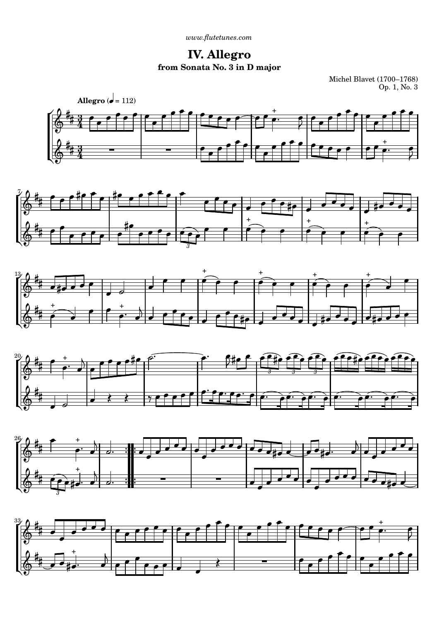

Michel Blavet (1700–1768) Op. 1, No. 3